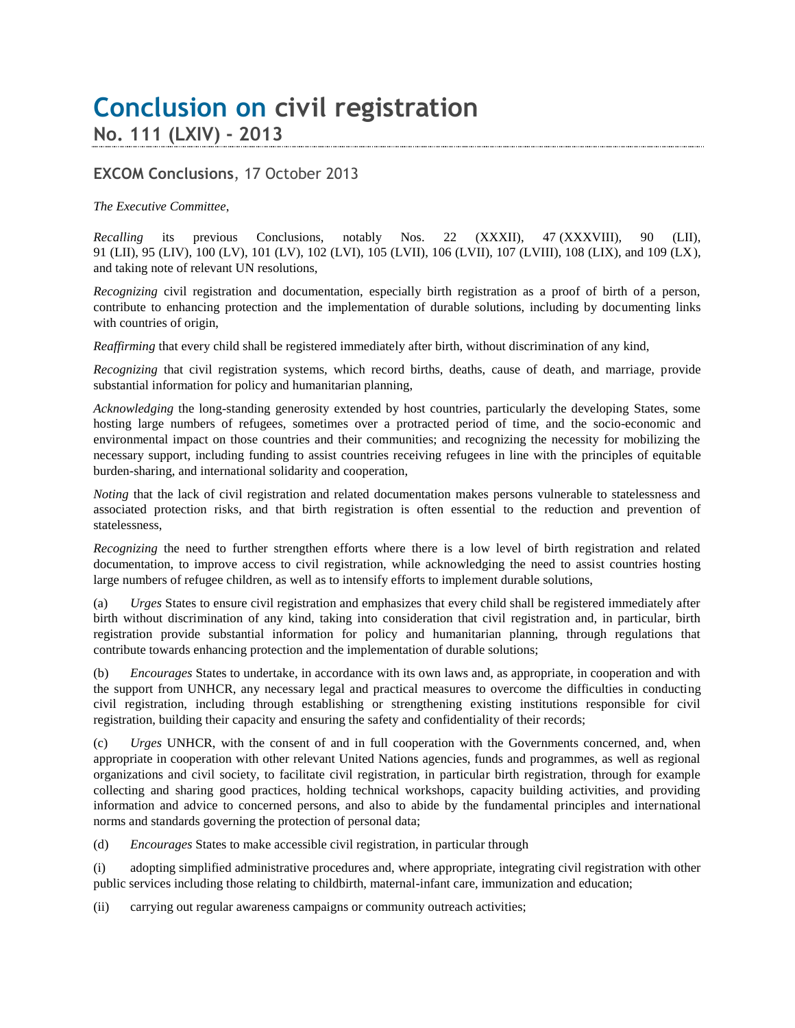## **Conclusion on civil registration No. 111 (LXIV) - 2013**

## **EXCOM Conclusions**, 17 October 2013

## *The Executive Committee*,

*Recalling* its previous Conclusions, notably Nos. 22 (XXXII), 47 (XXXVIII), 90 (LII), 91 (LII), 95 (LIV), 100 (LV), 101 (LV), 102 (LVI), 105 (LVII), 106 (LVII), 107 (LVIII), 108 (LIX), and 109 (LX), and taking note of relevant UN resolutions,

*Recognizing* civil registration and documentation, especially birth registration as a proof of birth of a person, contribute to enhancing protection and the implementation of durable solutions, including by documenting links with countries of origin,

*Reaffirming* that every child shall be registered immediately after birth, without discrimination of any kind,

*Recognizing* that civil registration systems, which record births, deaths, cause of death, and marriage, provide substantial information for policy and humanitarian planning,

*Acknowledging* the long-standing generosity extended by host countries, particularly the developing States, some hosting large numbers of refugees, sometimes over a protracted period of time, and the socio-economic and environmental impact on those countries and their communities; and recognizing the necessity for mobilizing the necessary support, including funding to assist countries receiving refugees in line with the principles of equitable burden-sharing, and international solidarity and cooperation,

*Noting* that the lack of civil registration and related documentation makes persons vulnerable to statelessness and associated protection risks, and that birth registration is often essential to the reduction and prevention of statelessness,

*Recognizing* the need to further strengthen efforts where there is a low level of birth registration and related documentation, to improve access to civil registration, while acknowledging the need to assist countries hosting large numbers of refugee children, as well as to intensify efforts to implement durable solutions,

(a) *Urges* States to ensure civil registration and emphasizes that every child shall be registered immediately after birth without discrimination of any kind, taking into consideration that civil registration and, in particular, birth registration provide substantial information for policy and humanitarian planning, through regulations that contribute towards enhancing protection and the implementation of durable solutions;

(b) *Encourages* States to undertake, in accordance with its own laws and, as appropriate, in cooperation and with the support from UNHCR, any necessary legal and practical measures to overcome the difficulties in conducting civil registration, including through establishing or strengthening existing institutions responsible for civil registration, building their capacity and ensuring the safety and confidentiality of their records;

(c) *Urges* UNHCR, with the consent of and in full cooperation with the Governments concerned, and, when appropriate in cooperation with other relevant United Nations agencies, funds and programmes, as well as regional organizations and civil society, to facilitate civil registration, in particular birth registration, through for example collecting and sharing good practices, holding technical workshops, capacity building activities, and providing information and advice to concerned persons, and also to abide by the fundamental principles and international norms and standards governing the protection of personal data;

(d) *Encourages* States to make accessible civil registration, in particular through

(i) adopting simplified administrative procedures and, where appropriate, integrating civil registration with other public services including those relating to childbirth, maternal-infant care, immunization and education;

(ii) carrying out regular awareness campaigns or community outreach activities;